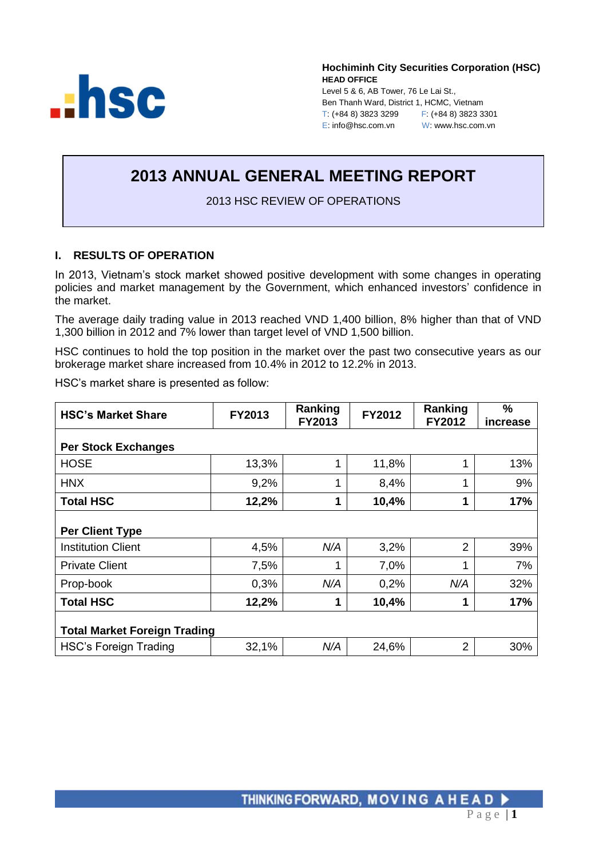

**Hochiminh City Securities Corporation (HSC) HEAD OFFICE** Level 5 & 6, AB Tower, 76 Le Lai St., Ben Thanh Ward, District 1, HCMC, Vietnam T: (+84 8) 3823 3299 F: (+84 8) 3823 3301 E: info@hsc.com.vn W: www.hsc.com.vn

# **2013 ANNUAL GENERAL MEETING REPORT**

2013 HSC REVIEW OF OPERATIONS

# **I. RESULTS OF OPERATION**

In 2013, Vietnam's stock market showed positive development with some changes in operating policies and market management by the Government, which enhanced investors' confidence in the market.

The average daily trading value in 2013 reached VND 1,400 billion, 8% higher than that of VND 1,300 billion in 2012 and 7% lower than target level of VND 1,500 billion.

HSC continues to hold the top position in the market over the past two consecutive years as our brokerage market share increased from 10.4% in 2012 to 12.2% in 2013.

HSC's market share is presented as follow:

| <b>HSC's Market Share</b>           | FY2013 | Ranking<br>FY2013 | FY2012 | Ranking<br><b>FY2012</b> | $\frac{0}{0}$<br>increase |  |  |  |  |  |
|-------------------------------------|--------|-------------------|--------|--------------------------|---------------------------|--|--|--|--|--|
| <b>Per Stock Exchanges</b>          |        |                   |        |                          |                           |  |  |  |  |  |
| <b>HOSE</b>                         | 13,3%  | 1                 | 11,8%  | 1                        | 13%                       |  |  |  |  |  |
| <b>HNX</b>                          | 9,2%   | 1                 | 8,4%   | 1                        | 9%                        |  |  |  |  |  |
| <b>Total HSC</b>                    | 12,2%  | 1                 | 10,4%  | 1                        | 17%                       |  |  |  |  |  |
| <b>Per Client Type</b>              |        |                   |        |                          |                           |  |  |  |  |  |
| <b>Institution Client</b>           | 4,5%   | N/A               | 3,2%   | 2                        | 39%                       |  |  |  |  |  |
| <b>Private Client</b>               | 7,5%   | 1                 | 7,0%   | 1                        | 7%                        |  |  |  |  |  |
| Prop-book                           | 0,3%   | N/A               | 0,2%   | N/A                      | 32%                       |  |  |  |  |  |
| <b>Total HSC</b>                    | 12,2%  | 1                 | 10,4%  |                          | 17%                       |  |  |  |  |  |
| <b>Total Market Foreign Trading</b> |        |                   |        |                          |                           |  |  |  |  |  |
| <b>HSC's Foreign Trading</b>        | 32,1%  | N/A               | 24,6%  | 2                        | 30%                       |  |  |  |  |  |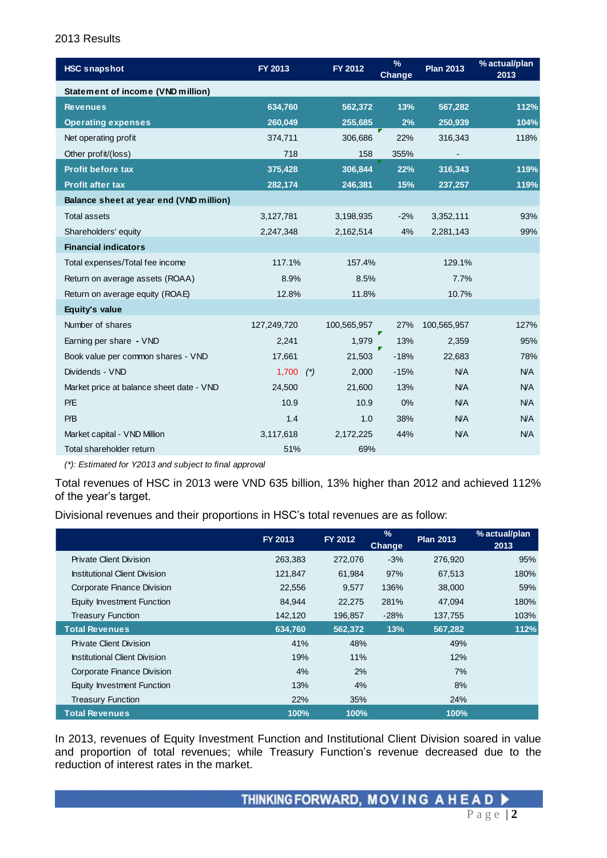#### 2013 Results

| <b>HSC snapshot</b>                      | FY 2013     |       | FY 2012     | $\frac{9}{6}$<br>Change | <b>Plan 2013</b> | % actual/plan<br>2013 |
|------------------------------------------|-------------|-------|-------------|-------------------------|------------------|-----------------------|
| <b>Statement of income (VND million)</b> |             |       |             |                         |                  |                       |
| <b>Revenues</b>                          | 634,760     |       | 562,372     | 13%                     | 567,282          | 112%                  |
| <b>Operating expenses</b>                | 260,049     |       | 255,685     | 2%                      | 250,939          | 104%                  |
| Net operating profit                     | 374,711     |       | 306,686     | 22%                     | 316,343          | 118%                  |
| Other profit/(loss)                      | 718         |       | 158         | 355%                    |                  |                       |
| <b>Profit before tax</b>                 | 375,428     |       | 306,844     | 22%                     | 316,343          | 119%                  |
| Profit after tax                         | 282,174     |       | 246,381     | 15%                     | 237,257          | 119%                  |
| Balance sheet at year end (VND million)  |             |       |             |                         |                  |                       |
| <b>Total assets</b>                      | 3,127,781   |       | 3,198,935   | $-2%$                   | 3,352,111        | 93%                   |
| Shareholders' equity                     | 2,247,348   |       | 2,162,514   | 4%                      | 2,281,143        | 99%                   |
| <b>Financial indicators</b>              |             |       |             |                         |                  |                       |
| Total expenses/Total fee income          | 117.1%      |       | 157.4%      |                         | 129.1%           |                       |
| Return on average assets (ROAA)          | 8.9%        |       | 8.5%        |                         | 7.7%             |                       |
| Return on average equity (ROAE)          | 12.8%       |       | 11.8%       |                         | 10.7%            |                       |
| Equity's value                           |             |       |             |                         |                  |                       |
| Number of shares                         | 127,249,720 |       | 100,565,957 | 27%                     | 100,565,957      | 127%                  |
| Earning per share - VND                  | 2,241       |       | 1.979       | 13%                     | 2,359            | 95%                   |
| Book value per common shares - VND       | 17,661      |       | 21,503      | $-18%$                  | 22,683           | 78%                   |
| Dividends - VND                          | 1,700       | $(*)$ | 2,000       | $-15%$                  | N/A              | <b>N/A</b>            |
| Market price at balance sheet date - VND | 24,500      |       | 21,600      | 13%                     | N/A              | <b>N/A</b>            |
| P/E                                      | 10.9        |       | 10.9        | 0%                      | <b>N/A</b>       | <b>N/A</b>            |
| P/B                                      | 1.4         |       | 1.0         | 38%                     | <b>N/A</b>       | <b>N/A</b>            |
| Market capital - VND Million             | 3,117,618   |       | 2,172,225   | 44%                     | <b>N/A</b>       | N/A                   |
| Total shareholder return                 | 51%         |       | 69%         |                         |                  |                       |

*(\*): Estimated for Y2013 and subject to final approval*

Total revenues of HSC in 2013 were VND 635 billion, 13% higher than 2012 and achieved 112% of the year's target.

Divisional revenues and their proportions in HSC's total revenues are as follow:

|                                      | FY 2013 | FY 2012 | $\%$<br><b>Change</b> | <b>Plan 2013</b> | % actual/plan<br>2013 |
|--------------------------------------|---------|---------|-----------------------|------------------|-----------------------|
| Private Client Division              | 263,383 | 272,076 | $-3%$                 | 276,920          | 95%                   |
| Institutional Client Division        | 121,847 | 61,984  | 97%                   | 67,513           | 180%                  |
| Corporate Finance Division           | 22,556  | 9,577   | 136%                  | 38,000           | 59%                   |
| Equity Investment Function           | 84.944  | 22,275  | 281%                  | 47,094           | 180%                  |
| <b>Treasury Function</b>             | 142,120 | 196,857 | $-28%$                | 137,755          | 103%                  |
| <b>Total Revenues</b>                | 634,760 | 562.372 | 13%                   | 567,282          | 112%                  |
| Private Client Division              | 41%     | 48%     |                       | 49%              |                       |
| <b>Institutional Client Division</b> | 19%     | 11%     |                       | 12%              |                       |
| Corporate Finance Division           | 4%      | 2%      |                       | 7%               |                       |
| Equity Investment Function           | 13%     | 4%      |                       | 8%               |                       |
| <b>Treasury Function</b>             | 22%     | 35%     |                       | 24%              |                       |
| <b>Total Revenues</b>                | 100%    | 100%    |                       | 100%             |                       |

In 2013, revenues of Equity Investment Function and Institutional Client Division soared in value and proportion of total revenues; while Treasury Function's revenue decreased due to the reduction of interest rates in the market.

THINKING FORWARD, MOVING A HEAD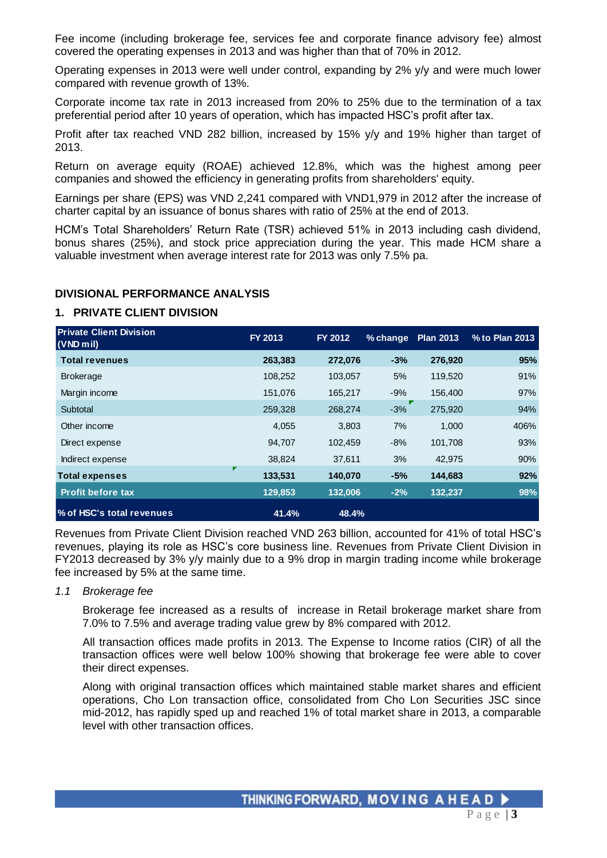Fee income (including brokerage fee, services fee and corporate finance advisory fee) almost covered the operating expenses in 2013 and was higher than that of 70% in 2012.

Operating expenses in 2013 were well under control, expanding by 2% y/y and were much lower compared with revenue growth of 13%.

Corporate income tax rate in 2013 increased from 20% to 25% due to the termination of a tax preferential period after 10 years of operation, which has impacted HSC's profit after tax.

Profit after tax reached VND 282 billion, increased by 15% y/y and 19% higher than target of 2013.

Return on average equity (ROAE) achieved 12.8%, which was the highest among peer companies and showed the efficiency in generating profits from shareholders' equity.

Earnings per share (EPS) was VND 2,241 compared with VND1,979 in 2012 after the increase of charter capital by an issuance of bonus shares with ratio of 25% at the end of 2013.

HCM's Total Shareholders' Return Rate (TSR) achieved 51% in 2013 including cash dividend, bonus shares (25%), and stock price appreciation during the year. This made HCM share a valuable investment when average interest rate for 2013 was only 7.5% pa.

#### **DIVISIONAL PERFORMANCE ANALYSIS**

#### **1. PRIVATE CLIENT DIVISION**

| <b>Private Client Division</b><br>$(VND$ mil) | FY 2013 | FY 2012 | % change | <b>Plan 2013</b> | % to Plan 2013 |
|-----------------------------------------------|---------|---------|----------|------------------|----------------|
| <b>Total revenues</b>                         | 263,383 | 272,076 | $-3%$    | 276,920          | 95%            |
| <b>Brokerage</b>                              | 108,252 | 103,057 | 5%       | 119,520          | 91%            |
| Margin income                                 | 151.076 | 165,217 | $-9%$    | 156,400          | 97%            |
| Subtotal                                      | 259,328 | 268,274 | $-3%$    | 275,920          | 94%            |
| Other income                                  | 4,055   | 3,803   | 7%       | 1,000            | 406%           |
| Direct expense                                | 94,707  | 102,459 | $-8%$    | 101,708          | 93%            |
| Indirect expense                              | 38,824  | 37,611  | 3%       | 42,975           | 90%            |
| ш<br><b>Total expenses</b>                    | 133,531 | 140,070 | $-5%$    | 144,683          | 92%            |
| <b>Profit before tax</b>                      | 129,853 | 132.006 | $-2%$    | 132,237          | 98%            |
| % of HSC's total revenues                     | 41.4%   | 48.4%   |          |                  |                |

Revenues from Private Client Division reached VND 263 billion, accounted for 41% of total HSC's revenues, playing its role as HSC's core business line. Revenues from Private Client Division in FY2013 decreased by 3% y/y mainly due to a 9% drop in margin trading income while brokerage fee increased by 5% at the same time.

#### *1.1 Brokerage fee*

Brokerage fee increased as a results of increase in Retail brokerage market share from 7.0% to 7.5% and average trading value grew by 8% compared with 2012.

All transaction offices made profits in 2013. The Expense to Income ratios (CIR) of all the transaction offices were well below 100% showing that brokerage fee were able to cover their direct expenses.

Along with original transaction offices which maintained stable market shares and efficient operations, Cho Lon transaction office, consolidated from Cho Lon Securities JSC since mid-2012, has rapidly sped up and reached 1% of total market share in 2013, a comparable level with other transaction offices.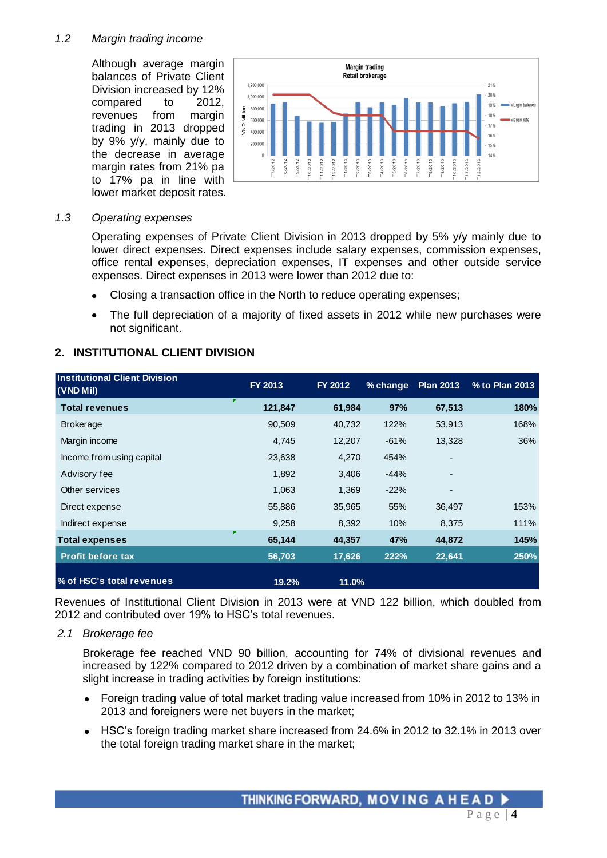#### *1.2 Margin trading income*

Although average margin balances of Private Client Division increased by 12% compared to 2012, revenues from margin trading in 2013 dropped by 9% y/y, mainly due to the decrease in average margin rates from 21% pa to 17% pa in line with lower market deposit rates.



#### *1.3 Operating expenses*

Operating expenses of Private Client Division in 2013 dropped by 5% y/y mainly due to lower direct expenses. Direct expenses include salary expenses, commission expenses, office rental expenses, depreciation expenses, IT expenses and other outside service expenses. Direct expenses in 2013 were lower than 2012 due to:

- Closing a transaction office in the North to reduce operating expenses;  $\bullet$
- The full depreciation of a majority of fixed assets in 2012 while new purchases were  $\bullet$ not significant.

## **2. INSTITUTIONAL CLIENT DIVISION**

| <b>Institutional Client Division</b><br>$(VND$ Mil) | FY 2013 | FY 2012 | % change | <b>Plan 2013</b> | % to Plan 2013 |
|-----------------------------------------------------|---------|---------|----------|------------------|----------------|
| F<br><b>Total revenues</b>                          | 121,847 | 61,984  | 97%      | 67,513           | 180%           |
| <b>Brokerage</b>                                    | 90,509  | 40,732  | 122%     | 53,913           | 168%           |
| Margin income                                       | 4,745   | 12,207  | $-61%$   | 13,328           | 36%            |
| Income from using capital                           | 23,638  | 4,270   | 454%     |                  |                |
| Advisory fee                                        | 1,892   | 3,406   | $-44%$   |                  |                |
| Other services                                      | 1,063   | 1,369   | $-22%$   | ٠                |                |
| Direct expense                                      | 55,886  | 35,965  | 55%      | 36,497           | 153%           |
| Indirect expense                                    | 9,258   | 8,392   | 10%      | 8,375            | 111%           |
| Г<br>Total expenses                                 | 65,144  | 44,357  | 47%      | 44,872           | 145%           |
| <b>Profit before tax</b>                            | 56,703  | 17,626  | 222%     | 22,641           | 250%           |
| % of HSC's total revenues                           | 19.2%   | 11.0%   |          |                  |                |

Revenues of Institutional Client Division in 2013 were at VND 122 billion, which doubled from 2012 and contributed over 19% to HSC's total revenues.

*2.1 Brokerage fee*

Brokerage fee reached VND 90 billion, accounting for 74% of divisional revenues and increased by 122% compared to 2012 driven by a combination of market share gains and a slight increase in trading activities by foreign institutions:

- Foreign trading value of total market trading value increased from 10% in 2012 to 13% in 2013 and foreigners were net buyers in the market;
- HSC's foreign trading market share increased from 24.6% in 2012 to 32.1% in 2013 over the total foreign trading market share in the market;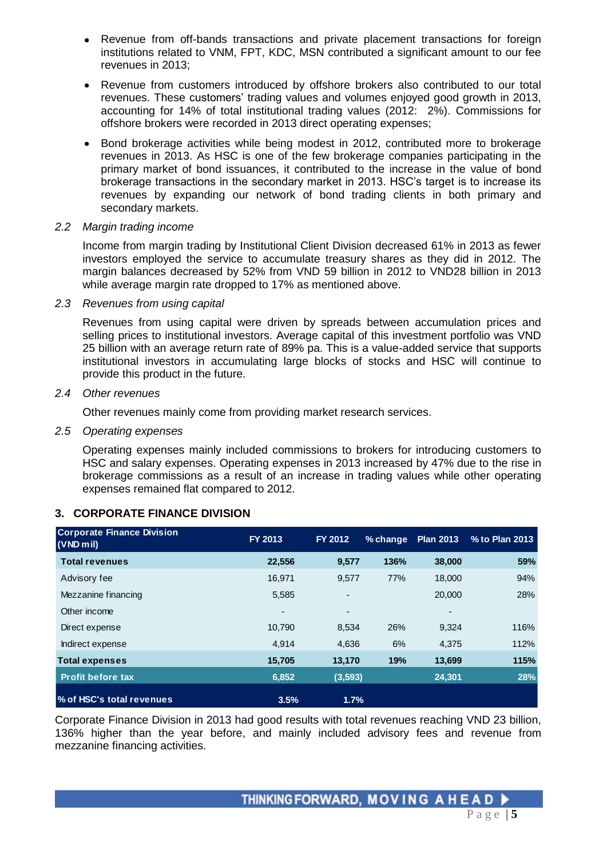- Revenue from off-bands transactions and private placement transactions for foreign institutions related to VNM, FPT, KDC, MSN contributed a significant amount to our fee revenues in 2013;
- Revenue from customers introduced by offshore brokers also contributed to our total revenues. These customers' trading values and volumes enjoyed good growth in 2013, accounting for 14% of total institutional trading values (2012: 2%). Commissions for offshore brokers were recorded in 2013 direct operating expenses;
- Bond brokerage activities while being modest in 2012, contributed more to brokerage revenues in 2013. As HSC is one of the few brokerage companies participating in the primary market of bond issuances, it contributed to the increase in the value of bond brokerage transactions in the secondary market in 2013. HSC's target is to increase its revenues by expanding our network of bond trading clients in both primary and secondary markets.

## *2.2 Margin trading income*

Income from margin trading by Institutional Client Division decreased 61% in 2013 as fewer investors employed the service to accumulate treasury shares as they did in 2012. The margin balances decreased by 52% from VND 59 billion in 2012 to VND28 billion in 2013 while average margin rate dropped to 17% as mentioned above.

*2.3 Revenues from using capital*

Revenues from using capital were driven by spreads between accumulation prices and selling prices to institutional investors. Average capital of this investment portfolio was VND 25 billion with an average return rate of 89% pa. This is a value-added service that supports institutional investors in accumulating large blocks of stocks and HSC will continue to provide this product in the future.

## *2.4 Other revenues*

Other revenues mainly come from providing market research services.

#### *2.5 Operating expenses*

Operating expenses mainly included commissions to brokers for introducing customers to HSC and salary expenses. Operating expenses in 2013 increased by 47% due to the rise in brokerage commissions as a result of an increase in trading values while other operating expenses remained flat compared to 2012.

# **3. CORPORATE FINANCE DIVISION**

| <b>Corporate Finance Division</b><br>$(VND$ mil) | FY 2013 | FY 2012  | % change | <b>Plan 2013</b> | % to Plan 2013 |
|--------------------------------------------------|---------|----------|----------|------------------|----------------|
| <b>Total revenues</b>                            | 22,556  | 9,577    | 136%     | 38,000           | 59%            |
| Advisory fee                                     | 16.971  | 9,577    | 77%      | 18,000           | 94%            |
| Mezzanine financing                              | 5,585   | ٠        |          | 20,000           | 28%            |
| Other income                                     | ٠       | ٠        |          |                  |                |
| Direct expense                                   | 10.790  | 8,534    | 26%      | 9,324            | 116%           |
| Indirect expense                                 | 4.914   | 4.636    | 6%       | 4.375            | 112%           |
| <b>Total expenses</b>                            | 15.705  | 13.170   | 19%      | 13,699           | 115%           |
| <b>Profit before tax</b>                         | 6.852   | (3, 593) |          | 24,301           | 28%            |
| % of HSC's total revenues                        | 3.5%    | 1.7%     |          |                  |                |

Corporate Finance Division in 2013 had good results with total revenues reaching VND 23 billion, 136% higher than the year before, and mainly included advisory fees and revenue from mezzanine financing activities.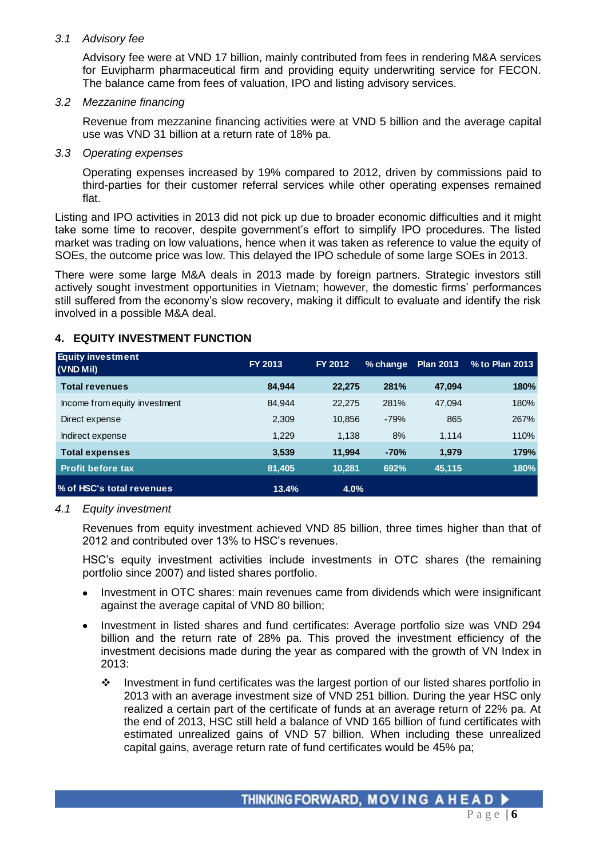#### *3.1 Advisory fee*

Advisory fee were at VND 17 billion, mainly contributed from fees in rendering M&A services for Euvipharm pharmaceutical firm and providing equity underwriting service for FECON. The balance came from fees of valuation, IPO and listing advisory services.

#### *3.2 Mezzanine financing*

Revenue from mezzanine financing activities were at VND 5 billion and the average capital use was VND 31 billion at a return rate of 18% pa.

#### *3.3 Operating expenses*

Operating expenses increased by 19% compared to 2012, driven by commissions paid to third-parties for their customer referral services while other operating expenses remained flat.

Listing and IPO activities in 2013 did not pick up due to broader economic difficulties and it might take some time to recover, despite government's effort to simplify IPO procedures. The listed market was trading on low valuations, hence when it was taken as reference to value the equity of SOEs, the outcome price was low. This delayed the IPO schedule of some large SOEs in 2013.

There were some large M&A deals in 2013 made by foreign partners. Strategic investors still actively sought investment opportunities in Vietnam; however, the domestic firms' performances still suffered from the economy's slow recovery, making it difficult to evaluate and identify the risk involved in a possible M&A deal.

# **4. EQUITY INVESTMENT FUNCTION**

| <b>Equity investment</b><br>$(VND$ Mil) | FY 2013 | <b>FY 2012</b> | % change | <b>Plan 2013</b> | % to Plan 2013 |
|-----------------------------------------|---------|----------------|----------|------------------|----------------|
| <b>Total revenues</b>                   | 84.944  | 22,275         | 281%     | 47.094           | 180%           |
| Income from equity investment           | 84.944  | 22,275         | 281%     | 47,094           | 180%           |
| Direct expense                          | 2,309   | 10.856         | $-79%$   | 865              | 267%           |
| Indirect expense                        | 1.229   | 1.138          | 8%       | 1,114            | 110%           |
| <b>Total expenses</b>                   | 3,539   | 11,994         | $-70%$   | 1,979            | 179%           |
| <b>Profit before tax</b>                | 81,405  | 10,281         | 692%     | 45,115           | 180%           |
| % of HSC's total revenues               | 13.4%   | 4.0%           |          |                  |                |

## *4.1 Equity investment*

Revenues from equity investment achieved VND 85 billion, three times higher than that of 2012 and contributed over 13% to HSC's revenues.

HSC's equity investment activities include investments in OTC shares (the remaining portfolio since 2007) and listed shares portfolio.

- Investment in OTC shares: main revenues came from dividends which were insignificant against the average capital of VND 80 billion;
- Investment in listed shares and fund certificates: Average portfolio size was VND 294 billion and the return rate of 28% pa. This proved the investment efficiency of the investment decisions made during the year as compared with the growth of VN Index in 2013:
	- $\cdot \cdot$  Investment in fund certificates was the largest portion of our listed shares portfolio in 2013 with an average investment size of VND 251 billion. During the year HSC only realized a certain part of the certificate of funds at an average return of 22% pa. At the end of 2013, HSC still held a balance of VND 165 billion of fund certificates with estimated unrealized gains of VND 57 billion. When including these unrealized capital gains, average return rate of fund certificates would be 45% pa;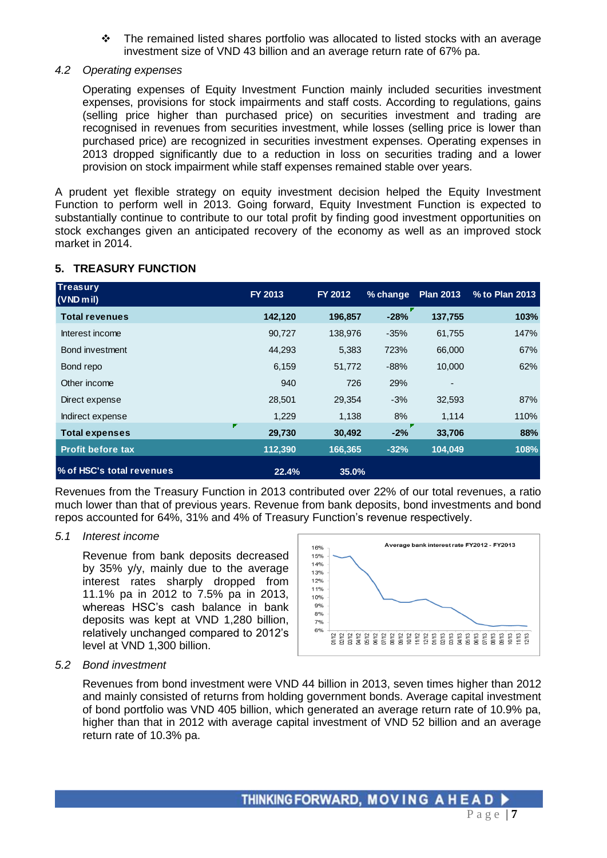The remained listed shares portfolio was allocated to listed stocks with an average investment size of VND 43 billion and an average return rate of 67% pa.

#### *4.2 Operating expenses*

Operating expenses of Equity Investment Function mainly included securities investment expenses, provisions for stock impairments and staff costs. According to regulations, gains (selling price higher than purchased price) on securities investment and trading are recognised in revenues from securities investment, while losses (selling price is lower than purchased price) are recognized in securities investment expenses. Operating expenses in 2013 dropped significantly due to a reduction in loss on securities trading and a lower provision on stock impairment while staff expenses remained stable over years.

A prudent yet flexible strategy on equity investment decision helped the Equity Investment Function to perform well in 2013. Going forward, Equity Investment Function is expected to substantially continue to contribute to our total profit by finding good investment opportunities on stock exchanges given an anticipated recovery of the economy as well as an improved stock market in 2014.

## **5. TREASURY FUNCTION**

| <b>Treasury</b><br>$(VND$ m <sub>il</sub> ) | FY 2013 | FY 2012 | % change | <b>Plan 2013</b> | % to Plan 2013 |
|---------------------------------------------|---------|---------|----------|------------------|----------------|
| <b>Total revenues</b>                       | 142,120 | 196,857 | $-28%$   | 137,755          | 103%           |
| Interest income                             | 90,727  | 138,976 | $-35%$   | 61,755           | 147%           |
| Bond investment                             | 44,293  | 5,383   | 723%     | 66,000           | 67%            |
| Bond repo                                   | 6,159   | 51,772  | $-88%$   | 10,000           | 62%            |
| Other income                                | 940     | 726     | 29%      |                  |                |
| Direct expense                              | 28,501  | 29,354  | $-3%$    | 32,593           | 87%            |
| Indirect expense                            | 1,229   | 1,138   | 8%       | 1,114            | 110%           |
| <b>Total expenses</b>                       | 29,730  | 30,492  | $-2%$    | 33,706           | 88%            |
| <b>Profit before tax</b>                    | 112,390 | 166,365 | $-32%$   | 104,049          | 108%           |
| % of HSC's total revenues                   | 22.4%   | 35.0%   |          |                  |                |

Revenues from the Treasury Function in 2013 contributed over 22% of our total revenues, a ratio much lower than that of previous years. Revenue from bank deposits, bond investments and bond repos accounted for 64%, 31% and 4% of Treasury Function's revenue respectively.

## *5.1 Interest income*

Revenue from bank deposits decreased by 35% y/y, mainly due to the average interest rates sharply dropped from 11.1% pa in 2012 to 7.5% pa in 2013, whereas HSC's cash balance in bank deposits was kept at VND 1,280 billion, relatively unchanged compared to 2012's level at VND 1,300 billion.



#### *5.2 Bond investment*

Revenues from bond investment were VND 44 billion in 2013, seven times higher than 2012 and mainly consisted of returns from holding government bonds. Average capital investment of bond portfolio was VND 405 billion, which generated an average return rate of 10.9% pa, higher than that in 2012 with average capital investment of VND 52 billion and an average return rate of 10.3% pa.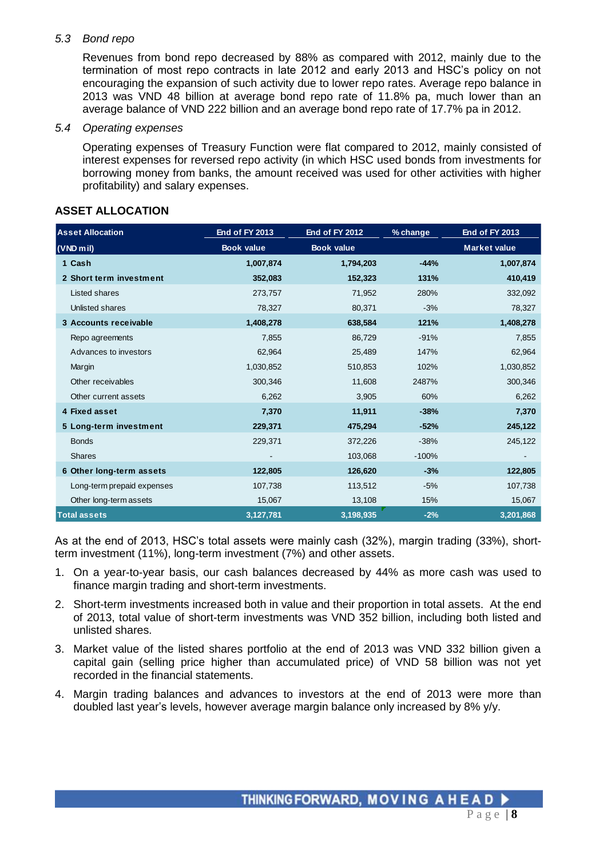## *5.3 Bond repo*

Revenues from bond repo decreased by 88% as compared with 2012, mainly due to the termination of most repo contracts in late 2012 and early 2013 and HSC's policy on not encouraging the expansion of such activity due to lower repo rates. Average repo balance in 2013 was VND 48 billion at average bond repo rate of 11.8% pa, much lower than an average balance of VND 222 billion and an average bond repo rate of 17.7% pa in 2012.

#### *5.4 Operating expenses*

Operating expenses of Treasury Function were flat compared to 2012, mainly consisted of interest expenses for reversed repo activity (in which HSC used bonds from investments for borrowing money from banks, the amount received was used for other activities with higher profitability) and salary expenses.

| <b>Asset Allocation</b>    | <b>End of FY 2013</b> | <b>End of FY 2012</b> | % change | <b>End of FY 2013</b> |  |  |
|----------------------------|-----------------------|-----------------------|----------|-----------------------|--|--|
| $(VND$ mil)                | <b>Book value</b>     | <b>Book value</b>     |          | <b>Market value</b>   |  |  |
| 1 Cash                     | 1,007,874             | 1,794,203             | $-44%$   | 1,007,874             |  |  |
| 2 Short term investment    | 352,083               | 152,323               | 131%     | 410,419               |  |  |
| Listed shares              | 273,757               | 71,952                | 280%     | 332,092               |  |  |
| Unlisted shares            | 78,327                | 80,371                | $-3%$    | 78,327                |  |  |
| 3 Accounts receivable      | 1,408,278             | 638,584               | 121%     | 1,408,278             |  |  |
| Repo agreements            | 7,855                 | 86,729                | $-91%$   | 7,855                 |  |  |
| Advances to investors      | 62,964                | 25,489                | 147%     | 62,964                |  |  |
| Margin                     | 1,030,852             | 510,853               | 102%     | 1,030,852             |  |  |
| Other receivables          | 300,346               | 11,608                | 2487%    | 300,346               |  |  |
| Other current assets       | 6,262                 | 3,905                 | 60%      | 6,262                 |  |  |
| 4 Fixed asset              | 7,370                 | 11,911                | $-38%$   | 7,370                 |  |  |
| 5 Long-term investment     | 229,371               | 475,294               | $-52%$   | 245,122               |  |  |
| <b>Bonds</b>               | 229,371               | 372,226               | $-38%$   | 245,122               |  |  |
| <b>Shares</b>              |                       | 103,068               | $-100%$  |                       |  |  |
| 6 Other long-term assets   | 122,805               | 126,620               | $-3%$    | 122,805               |  |  |
| Long-term prepaid expenses | 107,738               | 113,512               | $-5%$    | 107,738               |  |  |
| Other long-term assets     | 15,067                | 13,108                | 15%      | 15,067                |  |  |
| <b>Total assets</b>        | 3,127,781             | 3,198,935             | $-2%$    | 3,201,868             |  |  |

## **ASSET ALLOCATION**

As at the end of 2013, HSC's total assets were mainly cash (32%), margin trading (33%), shortterm investment (11%), long-term investment (7%) and other assets.

- 1. On a year-to-year basis, our cash balances decreased by 44% as more cash was used to finance margin trading and short-term investments.
- 2. Short-term investments increased both in value and their proportion in total assets. At the end of 2013, total value of short-term investments was VND 352 billion, including both listed and unlisted shares.
- 3. Market value of the listed shares portfolio at the end of 2013 was VND 332 billion given a capital gain (selling price higher than accumulated price) of VND 58 billion was not yet recorded in the financial statements.
- 4. Margin trading balances and advances to investors at the end of 2013 were more than doubled last year's levels, however average margin balance only increased by 8% y/y.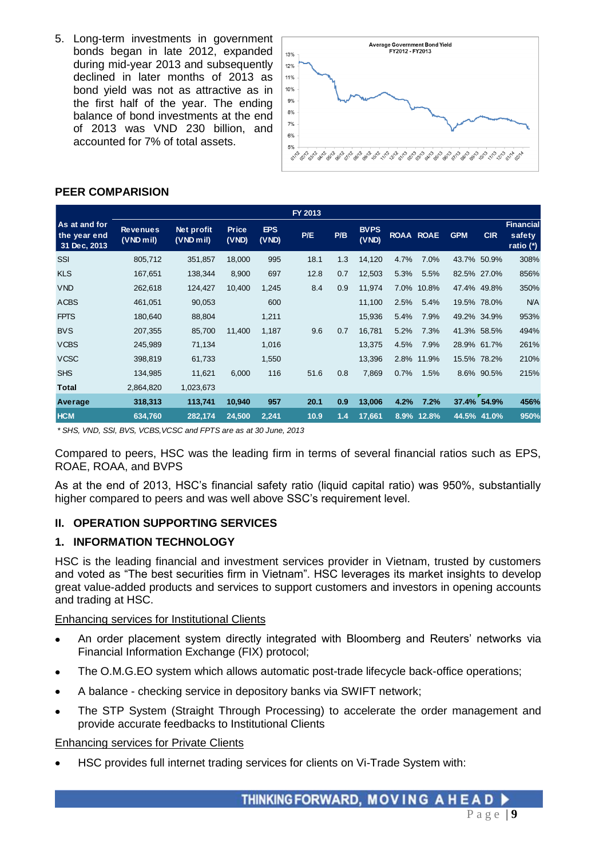5. Long-term investments in government bonds began in late 2012, expanded during mid-year 2013 and subsequently declined in later months of 2013 as bond yield was not as attractive as in the first half of the year. The ending balance of bond investments at the end of 2013 was VND 230 billion, and accounted for 7% of total assets.



#### **PEER COMPARISION**

|                                               |                              |                           |                       |                     | FY 2013 |     |                      |      |                  |            |             |                                         |
|-----------------------------------------------|------------------------------|---------------------------|-----------------------|---------------------|---------|-----|----------------------|------|------------------|------------|-------------|-----------------------------------------|
| As at and for<br>the year end<br>31 Dec, 2013 | <b>Revenues</b><br>(VND mil) | Net profit<br>$(VND$ mil) | <b>Price</b><br>(VND) | <b>EPS</b><br>(VND) | P/E     | P/B | <b>BVPS</b><br>(VND) |      | <b>ROAA ROAE</b> | <b>GPM</b> | <b>CIR</b>  | <b>Financial</b><br>safety<br>ratio (*) |
| SSI                                           | 805,712                      | 351,857                   | 18,000                | 995                 | 18.1    | 1.3 | 14,120               | 4.7% | 7.0%             |            | 43.7% 50.9% | 308%                                    |
| <b>KLS</b>                                    | 167,651                      | 138,344                   | 8,900                 | 697                 | 12.8    | 0.7 | 12,503               | 5.3% | 5.5%             |            | 82.5% 27.0% | 856%                                    |
| <b>VND</b>                                    | 262,618                      | 124,427                   | 10,400                | 1,245               | 8.4     | 0.9 | 11.974               | 7.0% | 10.8%            |            | 47.4% 49.8% | 350%                                    |
| <b>ACBS</b>                                   | 461,051                      | 90,053                    |                       | 600                 |         |     | 11,100               | 2.5% | 5.4%             |            | 19.5% 78.0% | <b>N/A</b>                              |
| <b>FPTS</b>                                   | 180,640                      | 88,804                    |                       | 1,211               |         |     | 15,936               | 5.4% | 7.9%             |            | 49.2% 34.9% | 953%                                    |
| <b>BVS</b>                                    | 207,355                      | 85,700                    | 11,400                | 1,187               | 9.6     | 0.7 | 16,781               | 5.2% | 7.3%             |            | 41.3% 58.5% | 494%                                    |
| <b>VCBS</b>                                   | 245,989                      | 71,134                    |                       | 1,016               |         |     | 13,375               | 4.5% | 7.9%             |            | 28.9% 61.7% | 261%                                    |
| <b>VCSC</b>                                   | 398,819                      | 61,733                    |                       | 1,550               |         |     | 13,396               |      | 2.8% 11.9%       |            | 15.5% 78.2% | 210%                                    |
| <b>SHS</b>                                    | 134,985                      | 11,621                    | 6,000                 | 116                 | 51.6    | 0.8 | 7,869                | 0.7% | 1.5%             |            | 8.6% 90.5%  | 215%                                    |
| Total                                         | 2,864,820                    | 1,023,673                 |                       |                     |         |     |                      |      |                  |            |             |                                         |
| Average                                       | 318,313                      | 113,741                   | 10,940                | 957                 | 20.1    | 0.9 | 13,006               | 4.2% | 7.2%             |            | 37.4% 54.9% | 456%                                    |
| <b>HCM</b>                                    | 634,760                      | 282,174                   | 24,500                | 2,241               | 10.9    | 1.4 | 17,661               |      | 8.9% 12.8%       |            | 44.5% 41.0% | 950%                                    |

*\* SHS, VND, SSI, BVS, VCBS,VCSC and FPTS are as at 30 June, 2013*

Compared to peers, HSC was the leading firm in terms of several financial ratios such as EPS, ROAE, ROAA, and BVPS

As at the end of 2013, HSC's financial safety ratio (liquid capital ratio) was 950%, substantially higher compared to peers and was well above SSC's requirement level.

## **II. OPERATION SUPPORTING SERVICES**

## **1. INFORMATION TECHNOLOGY**

HSC is the leading financial and investment services provider in Vietnam, trusted by customers and voted as "The best securities firm in Vietnam". HSC leverages its market insights to develop great value-added products and services to support customers and investors in opening accounts and trading at HSC.

#### Enhancing services for Institutional Clients

- An order placement system directly integrated with Bloomberg and Reuters' networks via Financial Information Exchange (FIX) protocol;
- The O.M.G.EO system which allows automatic post-trade lifecycle back-office operations;
- A balance checking service in depository banks via SWIFT network;
- The STP System (Straight Through Processing) to accelerate the order management and provide accurate feedbacks to Institutional Clients

#### Enhancing services for Private Clients

HSC provides full internet trading services for clients on Vi-Trade System with: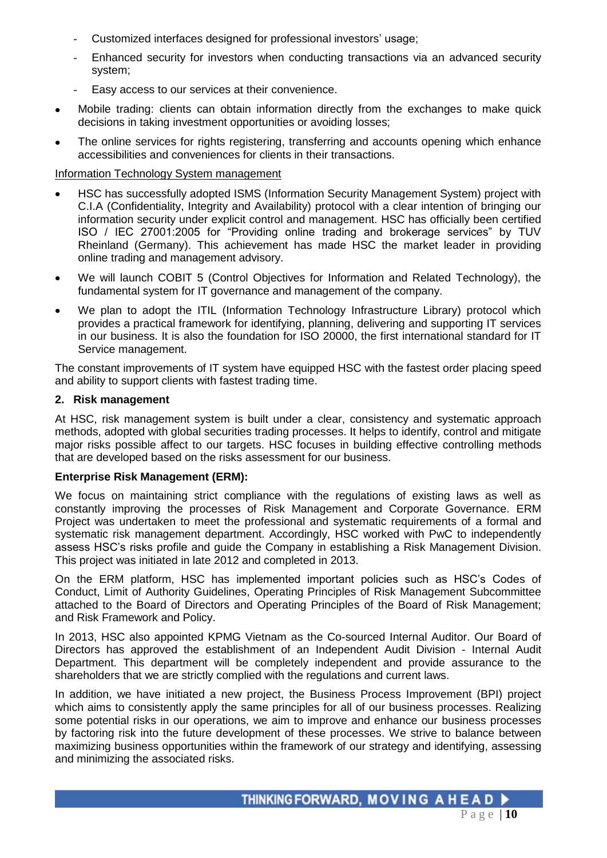- Customized interfaces designed for professional investors' usage;
- Enhanced security for investors when conducting transactions via an advanced security system;
- Easy access to our services at their convenience.
- Mobile trading: clients can obtain information directly from the exchanges to make quick  $\bullet$ decisions in taking investment opportunities or avoiding losses;
- The online services for rights registering, transferring and accounts opening which enhance accessibilities and conveniences for clients in their transactions.

## Information Technology System management

- HSC has successfully adopted ISMS (Information Security Management System) project with C.I.A (Confidentiality, Integrity and Availability) protocol with a clear intention of bringing our information security under explicit control and management. HSC has officially been certified ISO / IEC 27001:2005 for "Providing online trading and brokerage services" by TUV Rheinland (Germany). This achievement has made HSC the market leader in providing online trading and management advisory.
- We will launch COBIT 5 (Control Objectives for Information and Related Technology), the fundamental system for IT governance and management of the company.
- We plan to adopt the ITIL (Information Technology Infrastructure Library) protocol which provides a practical framework for identifying, planning, delivering and supporting IT services in our business. It is also the foundation for ISO 20000, the first international standard for IT Service management.

The constant improvements of IT system have equipped HSC with the fastest order placing speed and ability to support clients with fastest trading time.

# **2. Risk management**

At HSC, risk management system is built under a clear, consistency and systematic approach methods, adopted with global securities trading processes. It helps to identify, control and mitigate major risks possible affect to our targets. HSC focuses in building effective controlling methods that are developed based on the risks assessment for our business.

## **Enterprise Risk Management (ERM):**

We focus on maintaining strict compliance with the regulations of existing laws as well as constantly improving the processes of Risk Management and Corporate Governance. ERM Project was undertaken to meet the professional and systematic requirements of a formal and systematic risk management department. Accordingly, HSC worked with PwC to independently assess HSC's risks profile and guide the Company in establishing a Risk Management Division. This project was initiated in late 2012 and completed in 2013.

On the ERM platform, HSC has implemented important policies such as HSC's Codes of Conduct, Limit of Authority Guidelines, Operating Principles of Risk Management Subcommittee attached to the Board of Directors and Operating Principles of the Board of Risk Management; and Risk Framework and Policy.

In 2013, HSC also appointed KPMG Vietnam as the Co-sourced Internal Auditor. Our Board of Directors has approved the establishment of an Independent Audit Division - Internal Audit Department. This department will be completely independent and provide assurance to the shareholders that we are strictly complied with the regulations and current laws.

In addition, we have initiated a new project, the Business Process Improvement (BPI) project which aims to consistently apply the same principles for all of our business processes. Realizing some potential risks in our operations, we aim to improve and enhance our business processes by factoring risk into the future development of these processes. We strive to balance between maximizing business opportunities within the framework of our strategy and identifying, assessing and minimizing the associated risks.